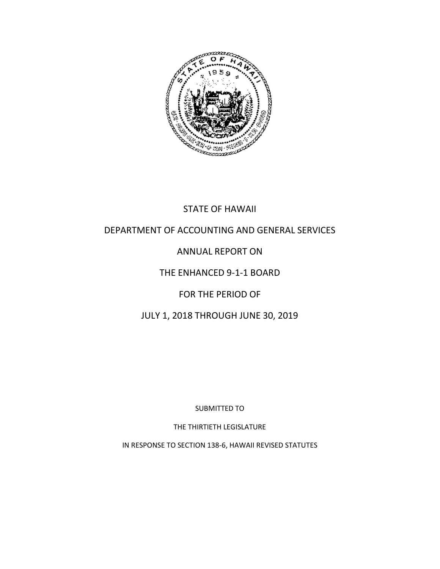

### STATE OF HAWAII

### DEPARTMENT OF ACCOUNTING AND GENERAL SERVICES

## ANNUAL REPORT ON

### THE ENHANCED 9-1-1 BOARD

### FOR THE PERIOD OF

### JULY 1, 2018 THROUGH JUNE 30, 2019

SUBMITTED TO

THE THIRTIETH LEGISLATURE

IN RESPONSE TO SECTION 138-6, HAWAII REVISED STATUTES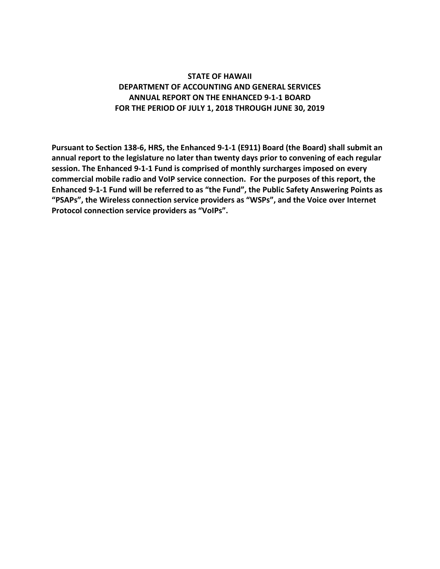### **STATE OF HAWAII DEPARTMENT OF ACCOUNTING AND GENERAL SERVICES ANNUAL REPORT ON THE ENHANCED 9-1-1 BOARD FOR THE PERIOD OF JULY 1, 2018 THROUGH JUNE 30, 2019**

**Pursuant to Section 138-6, HRS, the Enhanced 9-1-1 (E911) Board (the Board) shall submit an annual report to the legislature no later than twenty days prior to convening of each regular session. The Enhanced 9-1-1 Fund is comprised of monthly surcharges imposed on every commercial mobile radio and VoIP service connection. For the purposes of this report, the Enhanced 9-1-1 Fund will be referred to as "the Fund", the Public Safety Answering Points as "PSAPs", the Wireless connection service providers as "WSPs", and the Voice over Internet Protocol connection service providers as "VoIPs".**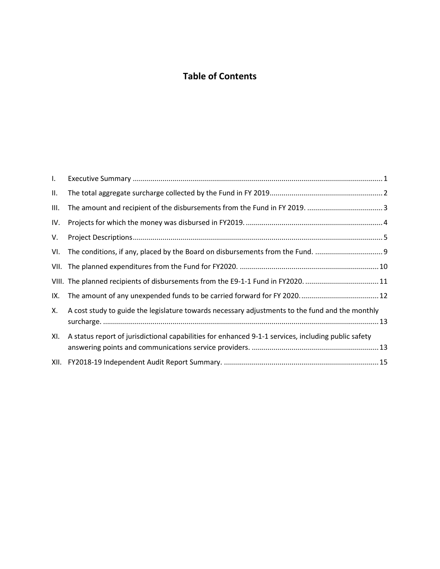## **Table of Contents**

| $\mathbf{L}$ |                                                                                                     |
|--------------|-----------------------------------------------------------------------------------------------------|
| II.          |                                                                                                     |
| III.         |                                                                                                     |
| IV.          |                                                                                                     |
| V.           |                                                                                                     |
| VI.          |                                                                                                     |
|              |                                                                                                     |
|              | VIII. The planned recipients of disbursements from the E9-1-1 Fund in FY2020. 11                    |
| IX.          |                                                                                                     |
| Х.           | A cost study to guide the legislature towards necessary adjustments to the fund and the monthly     |
| XI.          | A status report of jurisdictional capabilities for enhanced 9-1-1 services, including public safety |
|              |                                                                                                     |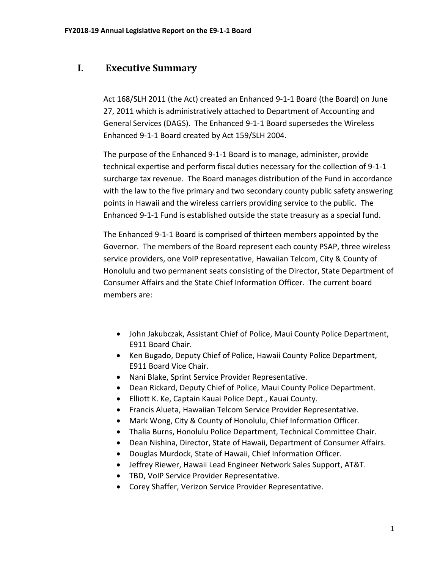### <span id="page-3-0"></span>**I. Executive Summary**

Act 168/SLH 2011 (the Act) created an Enhanced 9-1-1 Board (the Board) on June 27, 2011 which is administratively attached to Department of Accounting and General Services (DAGS). The Enhanced 9-1-1 Board supersedes the Wireless Enhanced 9-1-1 Board created by Act 159/SLH 2004.

The purpose of the Enhanced 9-1-1 Board is to manage, administer, provide technical expertise and perform fiscal duties necessary for the collection of 9-1-1 surcharge tax revenue. The Board manages distribution of the Fund in accordance with the law to the five primary and two secondary county public safety answering points in Hawaii and the wireless carriers providing service to the public. The Enhanced 9-1-1 Fund is established outside the state treasury as a special fund.

The Enhanced 9-1-1 Board is comprised of thirteen members appointed by the Governor. The members of the Board represent each county PSAP, three wireless service providers, one VoIP representative, Hawaiian Telcom, City & County of Honolulu and two permanent seats consisting of the Director, State Department of Consumer Affairs and the State Chief Information Officer. The current board members are:

- John Jakubczak, Assistant Chief of Police, Maui County Police Department, E911 Board Chair.
- Ken Bugado, Deputy Chief of Police, Hawaii County Police Department, E911 Board Vice Chair.
- Nani Blake, Sprint Service Provider Representative.
- Dean Rickard, Deputy Chief of Police, Maui County Police Department.
- Elliott K. Ke, Captain Kauai Police Dept., Kauai County.
- Francis Alueta, Hawaiian Telcom Service Provider Representative.
- Mark Wong, City & County of Honolulu, Chief Information Officer.
- Thalia Burns, Honolulu Police Department, Technical Committee Chair.
- Dean Nishina, Director, State of Hawaii, Department of Consumer Affairs.
- Douglas Murdock, State of Hawaii, Chief Information Officer.
- Jeffrey Riewer, Hawaii Lead Engineer Network Sales Support, AT&T.
- TBD, VoIP Service Provider Representative.
- Corey Shaffer, Verizon Service Provider Representative.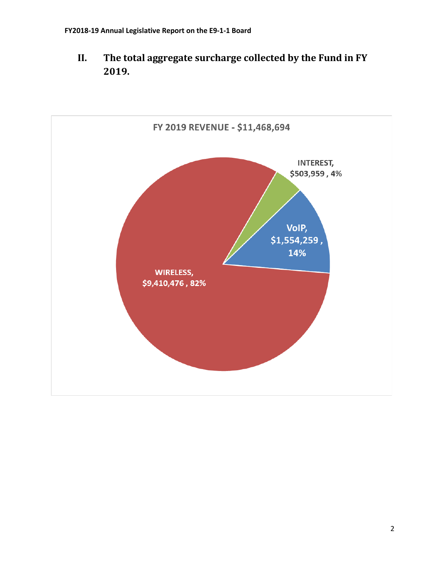<span id="page-4-0"></span>**II. The total aggregate surcharge collected by the Fund in FY 2019.**

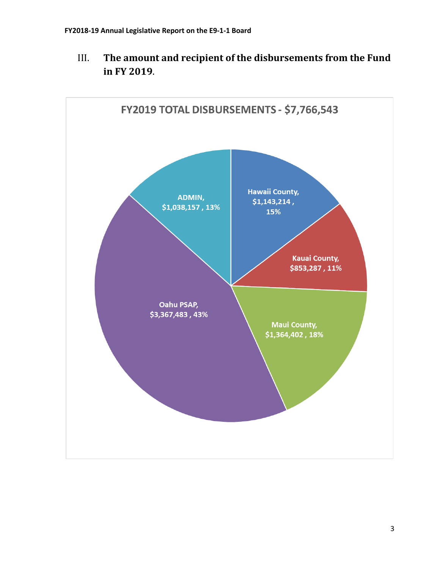

<span id="page-5-0"></span>III. **The amount and recipient of the disbursements from the Fund in FY 2019**.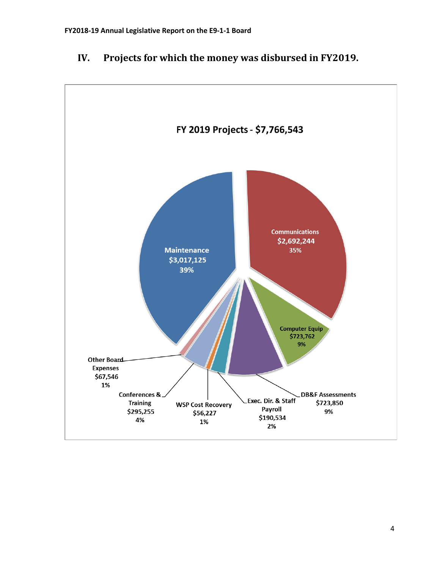

## <span id="page-6-0"></span>**IV. Projects for which the money was disbursed in FY2019.**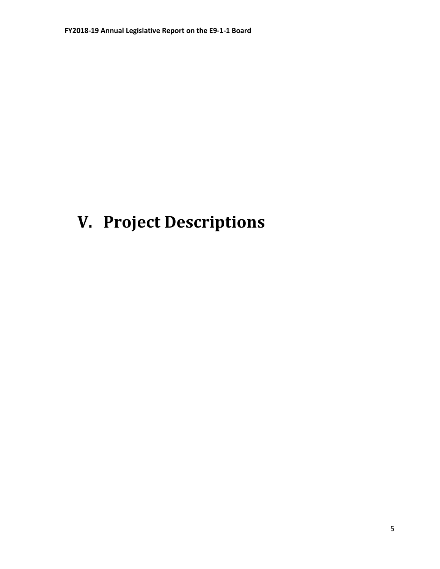# <span id="page-7-0"></span>**V. Project Descriptions**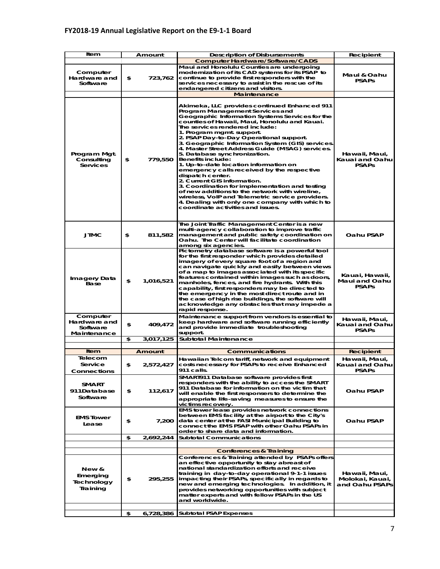### **FY2018-19 Annual Legislative Report on the E9-1-1 Board**

| Item                                                | Amount |               | <b>Description of Disbursements</b>                                                                                                                                                                                                                                                                                                                                                                                                                                                                                                                                                                                                                                                                                                                                                                                                                       | Recipient                                          |
|-----------------------------------------------------|--------|---------------|-----------------------------------------------------------------------------------------------------------------------------------------------------------------------------------------------------------------------------------------------------------------------------------------------------------------------------------------------------------------------------------------------------------------------------------------------------------------------------------------------------------------------------------------------------------------------------------------------------------------------------------------------------------------------------------------------------------------------------------------------------------------------------------------------------------------------------------------------------------|----------------------------------------------------|
|                                                     |        |               | <b>Computer Hardware/Software/CADS</b>                                                                                                                                                                                                                                                                                                                                                                                                                                                                                                                                                                                                                                                                                                                                                                                                                    |                                                    |
| Computer<br>Hardware and<br>Software                | \$     | 723,762       | Maui and Honolulu Counties are undergoing<br>modernization of its CAD systems for its PSAP to<br>continue to provide first responders with the<br>services necessary to assist in the rescue of its<br>endangered citizens and visitors.                                                                                                                                                                                                                                                                                                                                                                                                                                                                                                                                                                                                                  | Maui & Oahu<br><b>PSAPs</b>                        |
|                                                     |        |               | <b>Maintenance</b>                                                                                                                                                                                                                                                                                                                                                                                                                                                                                                                                                                                                                                                                                                                                                                                                                                        |                                                    |
| Program Mgt.<br>Consulting<br><b>Services</b>       | \$     | 779,550       | Akimeka, LLC provides continued Enhanced 911<br>Program Management Services and<br>Geographic Information Systems Services for the<br>counties of Hawaii, Maui, Honolulu and Kauai.<br>The services rendered include:<br>1. Program mgmt. support.<br>2. PSAP Day-to-Day Operational support.<br>3. Geographic Information System (GIS) services.<br>4. Master Street Address Guide (MSAG) services.<br>5. Database synchronization.<br><b>Benefits include:</b><br>1. Up-to-date location information on<br>emergency calls received by the respective<br>dispatch center.<br>2. Current GIS information.<br>3. Coordination for implementation and testing<br>of new additions to the network with wireline,<br>wireless, VoIP and Telemetric service providers.<br>4. Dealing with only one company with which to<br>coordinate activities and issues. | Hawaii, Maui,<br>Kauai and Oahu<br><b>PSAPs</b>    |
| <b>JTMC</b>                                         | \$     | 811,582       | The Joint Traffic Management Center is a new<br>multi-agency collaboration to improve traffic<br>management and public safety coordination on<br>Oahu. The Center will facilitate coordination<br>among six agencies.                                                                                                                                                                                                                                                                                                                                                                                                                                                                                                                                                                                                                                     | Oahu PSAP                                          |
| Imagery Data<br>Base                                | \$     | 1,016,521     | Pictometry database software is a powerful tool<br>for the first responder which provides detailed<br>imagery of every square foot of a region and<br>can navigate quickly and easily between views<br>of a map to images associated with its specific<br>features contained within images such as doors,<br>manholes, fences, and fire hydrants. With this<br>capability, first responders may be directed to<br>the emergency in the most direct route and in<br>the case of high rise buildings, the software will<br>acknowledge any obstacles that may impede a<br>rapid response.                                                                                                                                                                                                                                                                   | Kauai, Hawaii,<br>Maui and Oahu<br><b>PSAPs</b>    |
| Computer<br>Hardware and<br>Software<br>Maintenance | \$     | 409,472       | Maintenance support from vendors is essential to<br>keep hardware and software running efficiently<br>and provide immediate troubleshooting<br>support.                                                                                                                                                                                                                                                                                                                                                                                                                                                                                                                                                                                                                                                                                                   | Hawaii, Maui,<br>Kauai and Oahu<br><b>PSAPs</b>    |
|                                                     | \$     | 3,017,125     | Subtotal Maintenance                                                                                                                                                                                                                                                                                                                                                                                                                                                                                                                                                                                                                                                                                                                                                                                                                                      |                                                    |
|                                                     |        |               |                                                                                                                                                                                                                                                                                                                                                                                                                                                                                                                                                                                                                                                                                                                                                                                                                                                           |                                                    |
| Item                                                |        | <b>Amount</b> | Communications                                                                                                                                                                                                                                                                                                                                                                                                                                                                                                                                                                                                                                                                                                                                                                                                                                            | Recipient                                          |
| Telecom<br>Service<br><b>Connections</b>            | \$     | 2,572,427     | Hawaiian Telcom tariff, network and equipment<br>costs necessary for PSAPs to receive Enhanced<br>911 calls.                                                                                                                                                                                                                                                                                                                                                                                                                                                                                                                                                                                                                                                                                                                                              | Hawaii, Maui,<br>Kauai and Oahu<br><b>PSAPs</b>    |
| SMART<br>911Database<br>Software                    | \$     | 112,617       | SMART911 Database software provides first<br>responders with the ability to access the SMART<br>911 Database for information on the victim that<br>will enable the first responsers to determine the<br>appropriate life-saving measures to ensure the<br>victims recovery.                                                                                                                                                                                                                                                                                                                                                                                                                                                                                                                                                                               | Oahu PSAP                                          |
| <b>EMS Tower</b><br>Lease                           | \$     | 7,200         | EMS tower lease provides network connections<br>between EMS facility at the airport to the City's<br>data center at the FASI Municipal Building to<br>connect the EMS PSAP with other Oahu PSAPs in<br>order to share data and information.                                                                                                                                                                                                                                                                                                                                                                                                                                                                                                                                                                                                               | Oahu PSAP                                          |
|                                                     | \$     | 2,692,244     | <b>Subtotal Communications</b>                                                                                                                                                                                                                                                                                                                                                                                                                                                                                                                                                                                                                                                                                                                                                                                                                            |                                                    |
|                                                     |        |               | <b>Conferences &amp; Training</b>                                                                                                                                                                                                                                                                                                                                                                                                                                                                                                                                                                                                                                                                                                                                                                                                                         |                                                    |
| New &<br>Emerging<br>Technology<br>Training         | \$     | 295,255       | Conferences & Training attended by PSAPs offers<br>an effective opportunity to stay abreast of<br>national standardization efforts and receive<br>training in day-to-day operational 9-1-1 issues<br>impacting their PSAPs, specifically in regards to<br>new and emerging technologies. In addition, it<br>provides networking opportunities with subject<br>matter experts and with fellow PSAPs in the US<br>and worldwide.                                                                                                                                                                                                                                                                                                                                                                                                                            | Hawaii, Maui,<br>Molokai, Kauai,<br>and Oahu PSAPs |
|                                                     | \$     |               | 6,728,386 Subtotal PSAP Expenses                                                                                                                                                                                                                                                                                                                                                                                                                                                                                                                                                                                                                                                                                                                                                                                                                          |                                                    |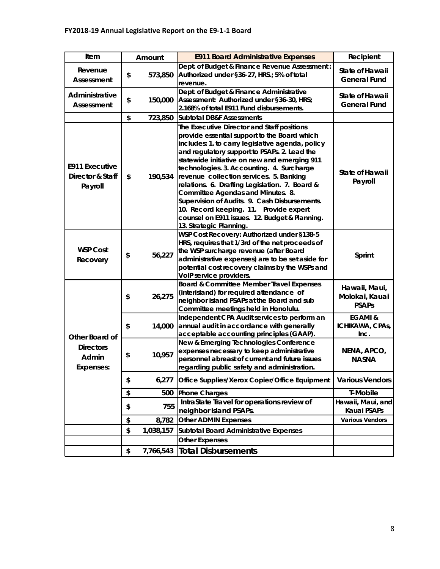| Item                                                 | Amount |           | <b>E911 Board Administrative Expenses</b>                                                                                                                                                                                                                                                                                                                                                                                                                                                                                                                                                             | Recipient                                       |
|------------------------------------------------------|--------|-----------|-------------------------------------------------------------------------------------------------------------------------------------------------------------------------------------------------------------------------------------------------------------------------------------------------------------------------------------------------------------------------------------------------------------------------------------------------------------------------------------------------------------------------------------------------------------------------------------------------------|-------------------------------------------------|
| Revenue<br>Assessment                                | \$     | 573,850   | Dept. of Budget & Finance Revenue Assessment:<br>Authorized under §36-27, HRS.; 5% of total<br>revenue.                                                                                                                                                                                                                                                                                                                                                                                                                                                                                               | State of Hawaii<br><b>General Fund</b>          |
| Administrative<br>Assessment                         | \$     | 150,000   | Dept. of Budget & Finance Administrative<br>Assessment: Authorized under §36-30, HRS;<br>2.168% of total E911 Fund disbursements.                                                                                                                                                                                                                                                                                                                                                                                                                                                                     | State of Hawaii<br><b>General Fund</b>          |
|                                                      | \$     | 723,850   | <b>Subtotal DB&amp;F Assessments</b>                                                                                                                                                                                                                                                                                                                                                                                                                                                                                                                                                                  |                                                 |
| <b>E911 Executive</b><br>Director & Staff<br>Payroll | \$     | 190,534   | The Executive Director and Staff positions<br>provide essential support to the Board which<br>includes: 1. to carry legislative agenda, policy<br>and regulatory support to PSAPs. 2. Lead the<br>statewide initiative on new and emerging 911<br>technologies. 3. Accounting. 4. Surcharge<br>revenue collection services. 5. Banking<br>relations. 6. Drafting Legislation. 7. Board &<br>Committee Agendas and Minutes. 8.<br>Supervision of Audits. 9. Cash Disbursements.<br>10. Record keeping. 11. Provide expert<br>counsel on E911 issues. 12. Budget & Planning.<br>13. Strategic Planning. | State of Hawaii<br>Payroll                      |
| <b>WSP Cost</b><br>Recovery                          | \$     | 56,227    | WSP Cost Recovery: Authorized under §138-5<br>HRS, requires that 1/3rd of the net proceeds of<br>the WSP surcharge revenue (after Board<br>administrative expenses) are to be set aside for<br>potential cost recovery claims by the WSPs and<br>VoIP service providers.                                                                                                                                                                                                                                                                                                                              | Sprint                                          |
|                                                      | \$     | 26,275    | Board & Committee Member Travel Expenses<br>(interisland) for required attendance of<br>neighbor island PSAPs at the Board and sub<br>Committee meetings held in Honolulu.                                                                                                                                                                                                                                                                                                                                                                                                                            | Hawaii, Maui,<br>Molokai, Kauai<br><b>PSAPs</b> |
| Other Board of                                       | \$     | 14,000    | Independent CPA Audit services to perform an<br>annual audit in accordance with generally<br>acceptable accounting principles (GAAP).                                                                                                                                                                                                                                                                                                                                                                                                                                                                 | <b>EGAMI &amp;</b><br>ICHIKAWA, CPAS,<br>Inc.   |
| <b>Directors</b><br>Admin<br>Expenses:               | \$     | 10,957    | New & Emerging Technologies Conference<br>expenses necessary to keep administrative<br>personnel abreast of current and future issues<br>regarding public safety and administration.                                                                                                                                                                                                                                                                                                                                                                                                                  | NENA, APCO,<br><b>NASNA</b>                     |
|                                                      | \$     | 6,277     | Office Supplies/Xerox Copier/Office Equipment                                                                                                                                                                                                                                                                                                                                                                                                                                                                                                                                                         | <b>Various Vendors</b>                          |
|                                                      | \$     | 500       | <b>Phone Charges</b>                                                                                                                                                                                                                                                                                                                                                                                                                                                                                                                                                                                  | T-Mobile                                        |
|                                                      | \$     | 755       | IntraState Travel for operations review of<br>neighbor island PSAPs.                                                                                                                                                                                                                                                                                                                                                                                                                                                                                                                                  | Hawaii, Maui, and<br>Kauai PSAPs                |
|                                                      | \$     | 8,782     | <b>Other ADMIN Expenses</b>                                                                                                                                                                                                                                                                                                                                                                                                                                                                                                                                                                           | <b>Various Vendors</b>                          |
|                                                      | \$     | 1,038,157 | <b>Subtotal Board Administrative Expenses</b>                                                                                                                                                                                                                                                                                                                                                                                                                                                                                                                                                         |                                                 |
|                                                      |        |           | <b>Other Expenses</b>                                                                                                                                                                                                                                                                                                                                                                                                                                                                                                                                                                                 |                                                 |
|                                                      | \$     | 7,766,543 | <b>Total Disbursements</b>                                                                                                                                                                                                                                                                                                                                                                                                                                                                                                                                                                            |                                                 |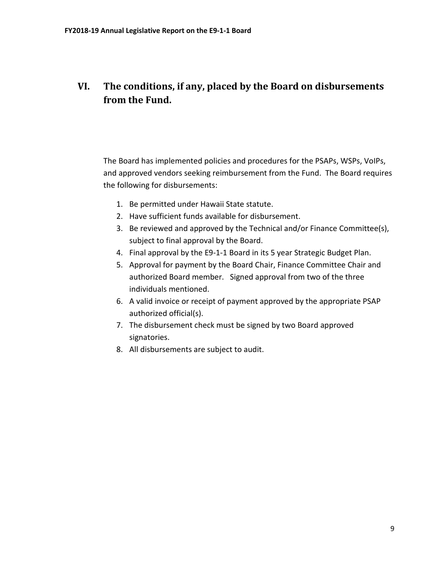# <span id="page-11-0"></span>**VI. The conditions, if any, placed by the Board on disbursements from the Fund.**

The Board has implemented policies and procedures for the PSAPs, WSPs, VoIPs, and approved vendors seeking reimbursement from the Fund. The Board requires the following for disbursements:

- 1. Be permitted under Hawaii State statute.
- 2. Have sufficient funds available for disbursement.
- 3. Be reviewed and approved by the Technical and/or Finance Committee(s), subject to final approval by the Board.
- 4. Final approval by the E9-1-1 Board in its 5 year Strategic Budget Plan.
- 5. Approval for payment by the Board Chair, Finance Committee Chair and authorized Board member. Signed approval from two of the three individuals mentioned.
- 6. A valid invoice or receipt of payment approved by the appropriate PSAP authorized official(s).
- 7. The disbursement check must be signed by two Board approved signatories.
- 8. All disbursements are subject to audit.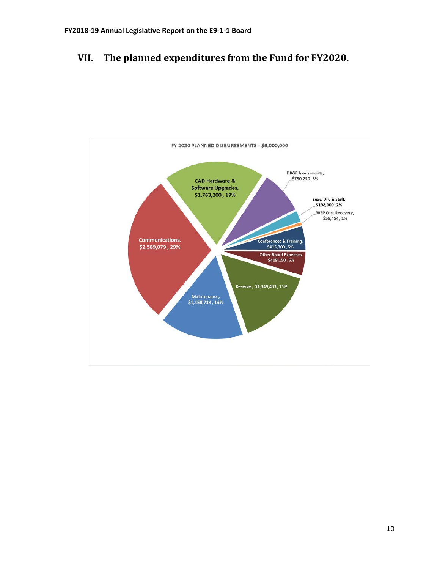# <span id="page-12-0"></span>**VII. The planned expenditures from the Fund for FY2020.**

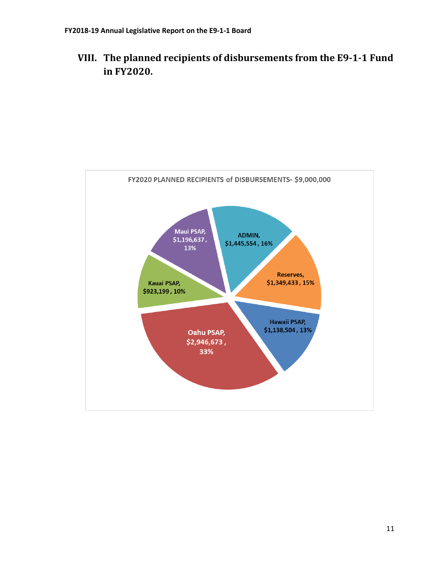# <span id="page-13-0"></span>**VIII. The planned recipients of disbursements from the E9-1-1 Fund in FY2020.**

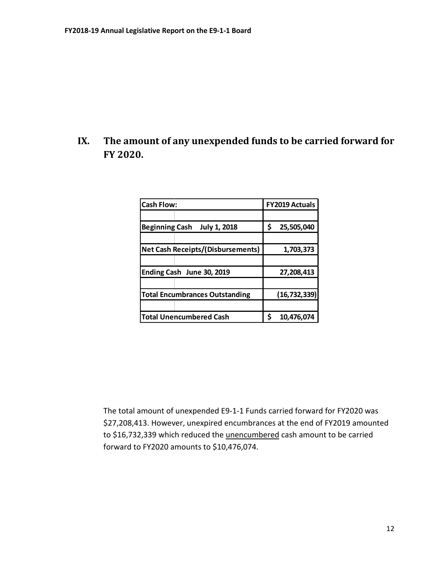## <span id="page-14-0"></span>**IX. The amount of any unexpended funds to be carried forward for FY 2020.**

| <b>Cash Flow:</b>                            | FY2019 Actuals   |  |
|----------------------------------------------|------------------|--|
|                                              |                  |  |
| <b>Beginning Cash</b><br><b>July 1, 2018</b> | \$<br>25,505,040 |  |
|                                              |                  |  |
| <b>Net Cash Receipts/(Disbursements)</b>     | 1,703,373        |  |
|                                              |                  |  |
| Ending Cash June 30, 2019                    | 27,208,413       |  |
|                                              |                  |  |
| <b>Total Encumbrances Outstanding</b>        | (16, 732, 339)   |  |
|                                              |                  |  |
| <b>Total Unencumbered Cash</b>               | ς<br>10,476,074  |  |

The total amount of unexpended E9-1-1 Funds carried forward for FY2020 was \$27,208,413. However, unexpired encumbrances at the end of FY2019 amounted to \$16,732,339 which reduced the unencumbered cash amount to be carried forward to FY2020 amounts to \$10,476,074.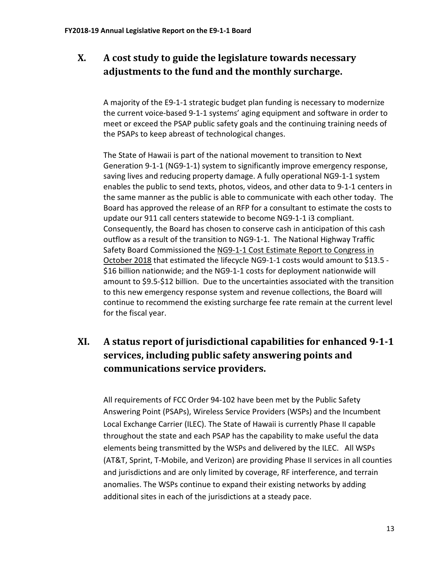# <span id="page-15-0"></span>**X. A cost study to guide the legislature towards necessary adjustments to the fund and the monthly surcharge.**

A majority of the E9-1-1 strategic budget plan funding is necessary to modernize the current voice-based 9-1-1 systems' aging equipment and software in order to meet or exceed the PSAP public safety goals and the continuing training needs of the PSAPs to keep abreast of technological changes.

The State of Hawaii is part of the national movement to transition to Next Generation 9-1-1 (NG9-1-1) system to significantly improve emergency response, saving lives and reducing property damage. A fully operational NG9-1-1 system enables the public to send texts, photos, videos, and other data to 9-1-1 centers in the same manner as the public is able to communicate with each other today. The Board has approved the release of an RFP for a consultant to estimate the costs to update our 911 call centers statewide to become NG9-1-1 i3 compliant. Consequently, the Board has chosen to conserve cash in anticipation of this cash outflow as a result of the transition to NG9-1-1. The National Highway Traffic Safety Board Commissioned the NG9-1-1 Cost Estimate Report to Congress in October 2018 that estimated the lifecycle NG9-1-1 costs would amount to \$13.5 - \$16 billion nationwide; and the NG9-1-1 costs for deployment nationwide will amount to \$9.5-\$12 billion. Due to the uncertainties associated with the transition to this new emergency response system and revenue collections, the Board will continue to recommend the existing surcharge fee rate remain at the current level for the fiscal year.

# <span id="page-15-1"></span>**XI. A status report of jurisdictional capabilities for enhanced 9-1-1 services, including public safety answering points and communications service providers.**

All requirements of FCC Order 94-102 have been met by the Public Safety Answering Point (PSAPs), Wireless Service Providers (WSPs) and the Incumbent Local Exchange Carrier (ILEC). The State of Hawaii is currently Phase II capable throughout the state and each PSAP has the capability to make useful the data elements being transmitted by the WSPs and delivered by the ILEC. All WSPs (AT&T, Sprint, T-Mobile, and Verizon) are providing Phase II services in all counties and jurisdictions and are only limited by coverage, RF interference, and terrain anomalies. The WSPs continue to expand their existing networks by adding additional sites in each of the jurisdictions at a steady pace.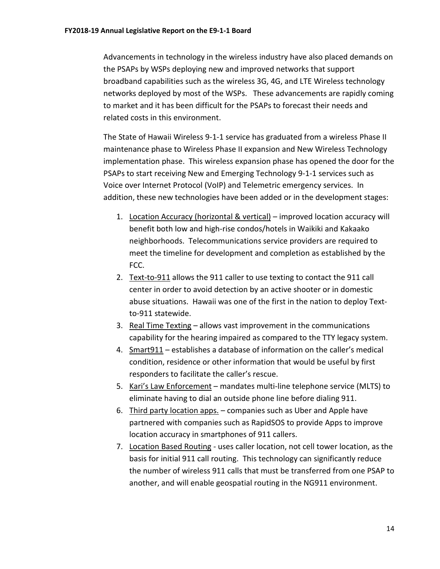Advancements in technology in the wireless industry have also placed demands on the PSAPs by WSPs deploying new and improved networks that support broadband capabilities such as the wireless 3G, 4G, and LTE Wireless technology networks deployed by most of the WSPs. These advancements are rapidly coming to market and it has been difficult for the PSAPs to forecast their needs and related costs in this environment.

The State of Hawaii Wireless 9-1-1 service has graduated from a wireless Phase II maintenance phase to Wireless Phase II expansion and New Wireless Technology implementation phase. This wireless expansion phase has opened the door for the PSAPs to start receiving New and Emerging Technology 9-1-1 services such as Voice over Internet Protocol (VoIP) and Telemetric emergency services. In addition, these new technologies have been added or in the development stages:

- 1. Location Accuracy (horizontal & vertical) improved location accuracy will benefit both low and high-rise condos/hotels in Waikiki and Kakaako neighborhoods. Telecommunications service providers are required to meet the timeline for development and completion as established by the FCC.
- 2. Text-to-911 allows the 911 caller to use texting to contact the 911 call center in order to avoid detection by an active shooter or in domestic abuse situations. Hawaii was one of the first in the nation to deploy Textto-911 statewide.
- 3. Real Time Texting allows vast improvement in the communications capability for the hearing impaired as compared to the TTY legacy system.
- 4. Smart911 establishes a database of information on the caller's medical condition, residence or other information that would be useful by first responders to facilitate the caller's rescue.
- 5. Kari's Law Enforcement mandates multi-line telephone service (MLTS) to eliminate having to dial an outside phone line before dialing 911.
- 6. Third party location apps. companies such as Uber and Apple have partnered with companies such as RapidSOS to provide Apps to improve location accuracy in smartphones of 911 callers.
- 7. Location Based Routing uses caller location, not cell tower location, as the basis for initial 911 call routing. This technology can significantly reduce the number of wireless 911 calls that must be transferred from one PSAP to another, and will enable geospatial routing in the NG911 environment.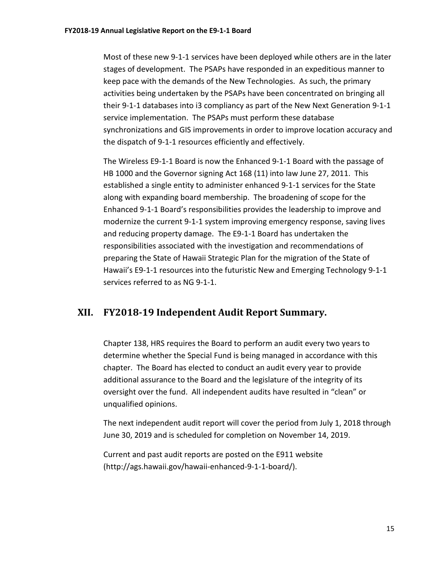Most of these new 9-1-1 services have been deployed while others are in the later stages of development. The PSAPs have responded in an expeditious manner to keep pace with the demands of the New Technologies. As such, the primary activities being undertaken by the PSAPs have been concentrated on bringing all their 9-1-1 databases into i3 compliancy as part of the New Next Generation 9-1-1 service implementation. The PSAPs must perform these database synchronizations and GIS improvements in order to improve location accuracy and the dispatch of 9-1-1 resources efficiently and effectively.

The Wireless E9-1-1 Board is now the Enhanced 9-1-1 Board with the passage of HB 1000 and the Governor signing Act 168 (11) into law June 27, 2011. This established a single entity to administer enhanced 9-1-1 services for the State along with expanding board membership. The broadening of scope for the Enhanced 9-1-1 Board's responsibilities provides the leadership to improve and modernize the current 9-1-1 system improving emergency response, saving lives and reducing property damage. The E9-1-1 Board has undertaken the responsibilities associated with the investigation and recommendations of preparing the State of Hawaii Strategic Plan for the migration of the State of Hawaii's E9-1-1 resources into the futuristic New and Emerging Technology 9-1-1 services referred to as NG 9-1-1.

### <span id="page-17-0"></span>**XII. FY2018-19 Independent Audit Report Summary.**

Chapter 138, HRS requires the Board to perform an audit every two years to determine whether the Special Fund is being managed in accordance with this chapter. The Board has elected to conduct an audit every year to provide additional assurance to the Board and the legislature of the integrity of its oversight over the fund. All independent audits have resulted in "clean" or unqualified opinions.

The next independent audit report will cover the period from July 1, 2018 through June 30, 2019 and is scheduled for completion on November 14, 2019.

Current and past audit reports are posted on the E911 website (http://ags.hawaii.gov/hawaii-enhanced-9-1-1-board/).